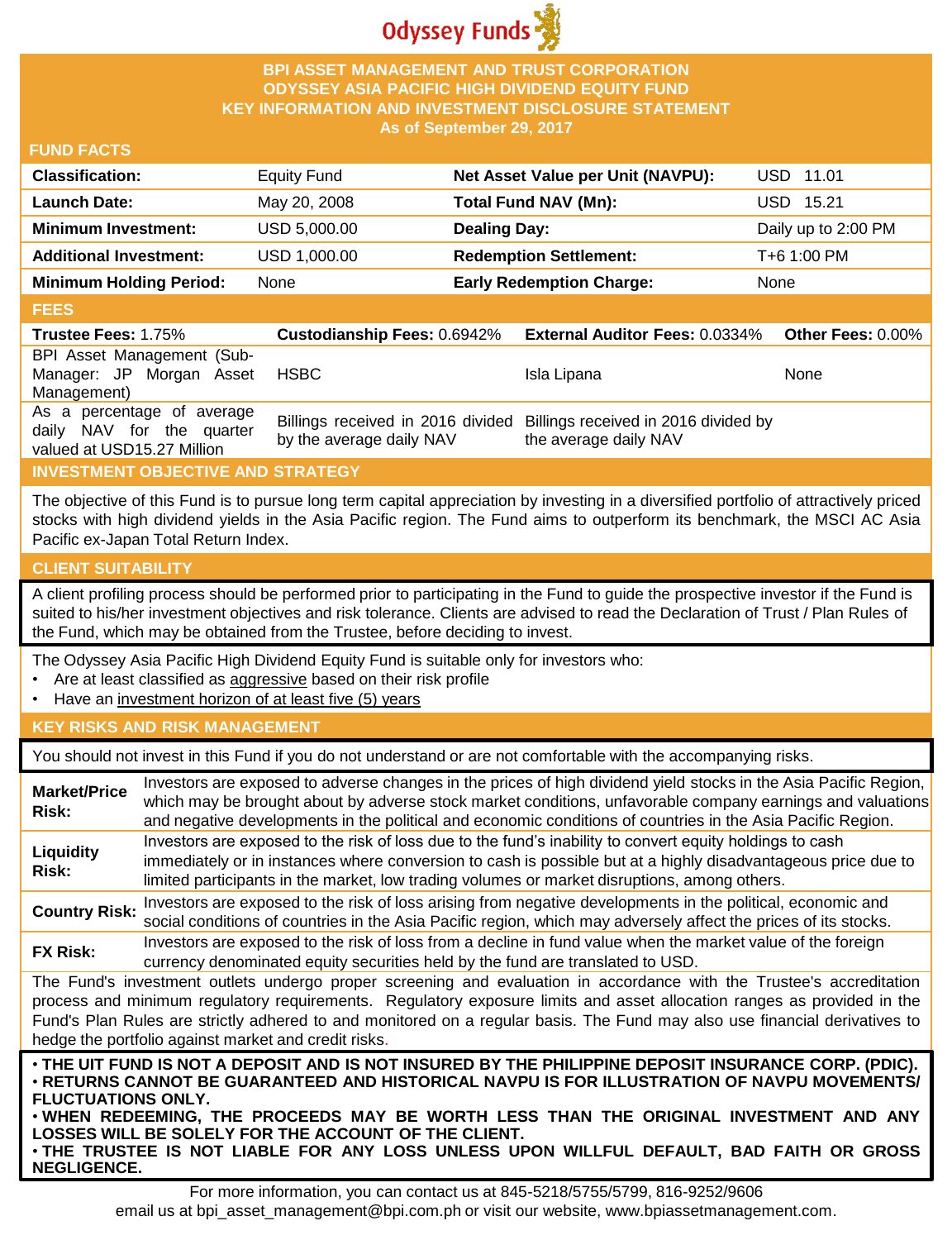

### **BPI ASSET MANAGEMENT AND TRUST CORPORATION ODYSSEY ASIA PACIFIC HIGH DIVIDEND EQUITY FUND KEY INFORMATION AND INVESTMENT DISCLOSURE STATEMENT As of September 29, 2017**

### **FUND FACTS**

| <b>Classification:</b>         | <b>Equity Fund</b> | Net Asset Value per Unit (NAVPU): | USD 11.01           |
|--------------------------------|--------------------|-----------------------------------|---------------------|
| <b>Launch Date:</b>            | May 20, 2008       | Total Fund NAV (Mn):              | USD 15.21           |
| <b>Minimum Investment:</b>     | USD 5,000.00       | <b>Dealing Day:</b>               | Daily up to 2:00 PM |
| <b>Additional Investment:</b>  | USD 1,000.00       | <b>Redemption Settlement:</b>     | T+6 1:00 PM         |
| <b>Minimum Holding Period:</b> | None               | <b>Early Redemption Charge:</b>   | <b>None</b>         |
|                                |                    |                                   |                     |

#### **FEES**

| ----                                                                                  |                                    |                                                                                                 |      |
|---------------------------------------------------------------------------------------|------------------------------------|-------------------------------------------------------------------------------------------------|------|
| <b>Trustee Fees: 1.75%</b>                                                            | <b>Custodianship Fees: 0.6942%</b> | <b>External Auditor Fees: 0.0334% Other Fees: 0.00%</b>                                         |      |
| BPI Asset Management (Sub-<br>Manager: JP Morgan Asset<br>Management)                 | HSBC                               | Isla Lipana                                                                                     | None |
| As a percentage of average<br>daily NAV for the quarter<br>valued at USD15.27 Million | by the average daily NAV           | Billings received in 2016 divided Billings received in 2016 divided by<br>the average daily NAV |      |

## **INVESTMENT OBJECTIVE AND STRATEGY**

The objective of this Fund is to pursue long term capital appreciation by investing in a diversified portfolio of attractively priced stocks with high dividend yields in the Asia Pacific region. The Fund aims to outperform its benchmark, the MSCI AC Asia Pacific ex-Japan Total Return Index.

### **CLIENT SUITABILITY**

A client profiling process should be performed prior to participating in the Fund to guide the prospective investor if the Fund is suited to his/her investment objectives and risk tolerance. Clients are advised to read the Declaration of Trust / Plan Rules of the Fund, which may be obtained from the Trustee, before deciding to invest.

The Odyssey Asia Pacific High Dividend Equity Fund is suitable only for investors who:

- Are at least classified as aggressive based on their risk profile
- Have an investment horizon of at least five (5) years

#### **KEY RISKS AND RISK MANAGEMENT**

You should not invest in this Fund if you do not understand or are not comfortable with the accompanying risks.

| <b>Market/Price</b><br>Risk:                                                                                                                                                                                                                                                                                                                                                                                                         | Investors are exposed to adverse changes in the prices of high dividend yield stocks in the Asia Pacific Region,<br>which may be brought about by adverse stock market conditions, unfavorable company earnings and valuations<br>and negative developments in the political and economic conditions of countries in the Asia Pacific Region. |  |  |
|--------------------------------------------------------------------------------------------------------------------------------------------------------------------------------------------------------------------------------------------------------------------------------------------------------------------------------------------------------------------------------------------------------------------------------------|-----------------------------------------------------------------------------------------------------------------------------------------------------------------------------------------------------------------------------------------------------------------------------------------------------------------------------------------------|--|--|
| Liquidity<br>Risk:                                                                                                                                                                                                                                                                                                                                                                                                                   | Investors are exposed to the risk of loss due to the fund's inability to convert equity holdings to cash<br>immediately or in instances where conversion to cash is possible but at a highly disadvantageous price due to<br>limited participants in the market, low trading volumes or market disruptions, among others.                     |  |  |
| <b>Country Risk:</b>                                                                                                                                                                                                                                                                                                                                                                                                                 | Investors are exposed to the risk of loss arising from negative developments in the political, economic and<br>social conditions of countries in the Asia Pacific region, which may adversely affect the prices of its stocks.                                                                                                                |  |  |
| <b>FX Risk:</b>                                                                                                                                                                                                                                                                                                                                                                                                                      | Investors are exposed to the risk of loss from a decline in fund value when the market value of the foreign<br>currency denominated equity securities held by the fund are translated to USD.                                                                                                                                                 |  |  |
| The Fund's investment outlets undergo proper screening and evaluation in accordance with the Trustee's accreditation<br>process and minimum regulatory requirements. Regulatory exposure limits and asset allocation ranges as provided in the<br>Fund's Plan Rules are strictly adhered to and monitored on a regular basis. The Fund may also use financial derivatives to<br>hedge the portfolio against market and credit risks. |                                                                                                                                                                                                                                                                                                                                               |  |  |
| . THE UIT FUND IS NOT A DEPOSIT AND IS NOT INSURED BY THE PHILIPPINE DEPOSIT INSURANCE CORP. (PDIC).<br>⋅RETURNS CANNOT BE GUARANTEED AND HISTORICAL NAVPU IS FOR ILLUSTRATION OF NAVPU MOVEMENTS/<br><b>FLUCTUATIONS ONLY.</b><br>. WHEN REDEEMING, THE PROCEEDS MAY BE WORTH LESS THAN THE ORIGINAL INVESTMENT AND ANY<br>LOSSES WILL BE SOLELY FOR THE ACCOUNT OF THE CLIENT.                                                     |                                                                                                                                                                                                                                                                                                                                               |  |  |

• **THE TRUSTEE IS NOT LIABLE FOR ANY LOSS UNLESS UPON WILLFUL DEFAULT, BAD FAITH OR GROSS NEGLIGENCE.**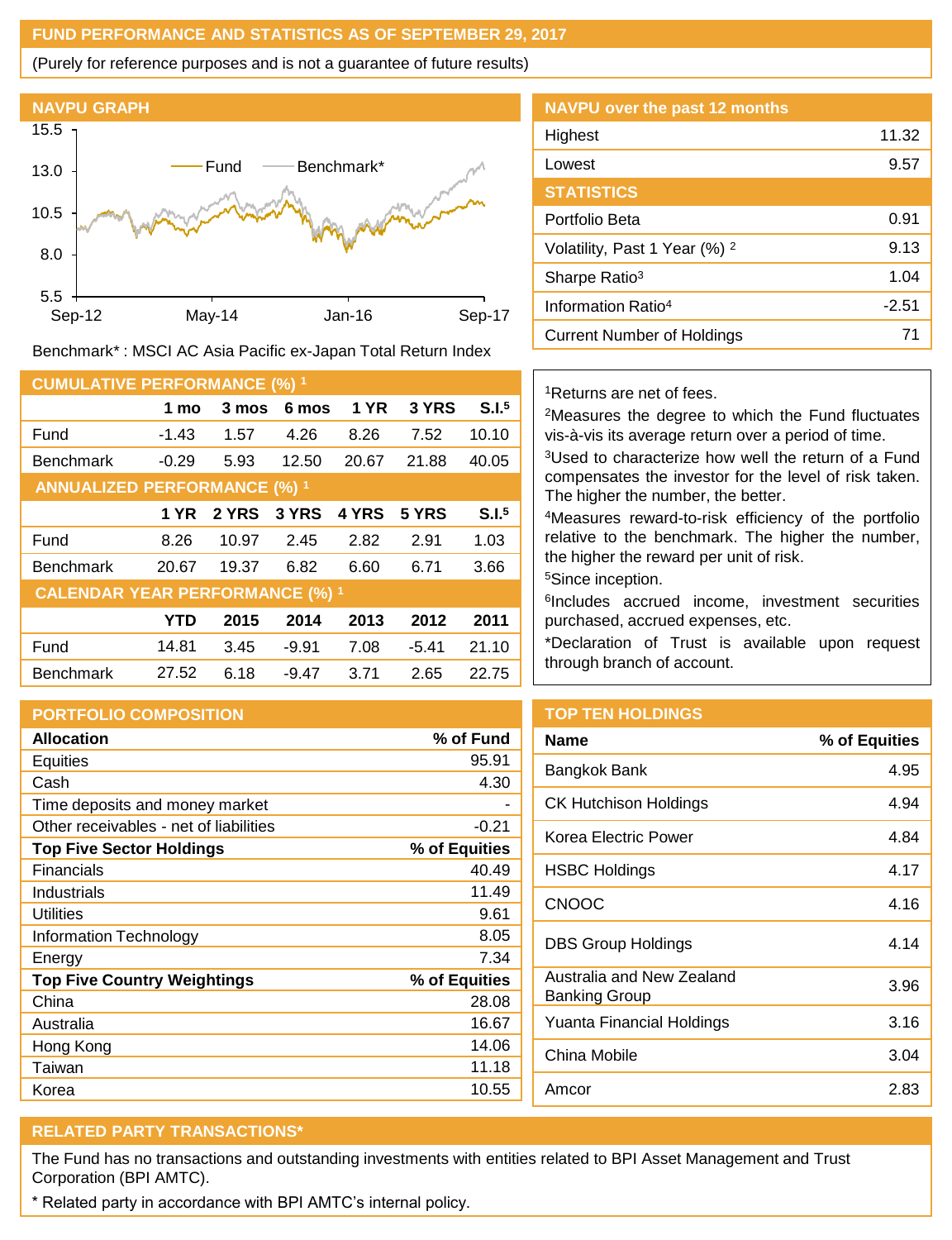#### **FUND PERFORMANCE AND STATISTICS AS OF SEPTEMBER 29, 2017**

(Purely for reference purposes and is not a guarantee of future results)



Benchmark\* : MSCI AC Asia Pacific ex-Japan Total Return Index

| <b>CUMULATIVE PERFORMANCE (%) 1</b>    |         |       |         |       |         |                   |
|----------------------------------------|---------|-------|---------|-------|---------|-------------------|
|                                        | 1 mo    | 3 mos | 6 mos   | 1 YR  | 3 YRS   | S.I. <sup>5</sup> |
| Fund                                   | $-1.43$ | 1.57  | 4.26    | 8.26  | 7.52    | 10.10             |
| <b>Benchmark</b>                       | $-0.29$ | 5.93  | 12.50   | 20.67 | 21.88   | 40.05             |
| <b>ANNUALIZED PERFORMANCE (%) 1</b>    |         |       |         |       |         |                   |
|                                        | 1 YR    | 2 YRS | 3 YRS   | 4 YRS | 5 YRS   | S.I. <sup>5</sup> |
| Fund                                   | 8.26    | 10.97 | 2.45    | 2.82  | 2.91    | 1.03              |
| <b>Benchmark</b>                       | 20.67   | 19.37 | 6.82    | 6.60  | 6.71    | 3.66              |
| <b>CALENDAR YEAR PERFORMANCE (%) 1</b> |         |       |         |       |         |                   |
|                                        | YTD     | 2015  | 2014    | 2013  | 2012    | 2011              |
| Fund                                   | 14.81   | 3.45  | $-9.91$ | 7.08  | $-5.41$ | 21.10             |
| <b>Benchmark</b>                       | 27.52   | 6.18  | $-9.47$ | 3.71  | 2.65    | 22.75             |

### **PORTFOLIO COMPOSITION**

| <b>Allocation</b>                      | % of Fund     |
|----------------------------------------|---------------|
| Equities                               | 95.91         |
| Cash                                   | 4.30          |
| Time deposits and money market         |               |
| Other receivables - net of liabilities | $-0.21$       |
| <b>Top Five Sector Holdings</b>        | % of Equities |
| Financials                             | 40.49         |
| Industrials                            | 11.49         |
| Utilities                              | 9.61          |
| Information Technology                 | 8.05          |
| Energy                                 | 7.34          |
| <b>Top Five Country Weightings</b>     | % of Equities |
| China                                  | 28.08         |
| Australia                              | 16.67         |
| Hong Kong                              | 14.06         |
| Taiwan                                 | 11.18         |
| Korea                                  | 10.55         |

| <b>NAVPU over the past 12 months</b>     |         |
|------------------------------------------|---------|
| Highest                                  | 11.32   |
| Lowest                                   | 9.57    |
| <b>STATISTICS</b>                        |         |
| Portfolio Beta                           | 0.91    |
| Volatility, Past 1 Year (%) <sup>2</sup> | 9.13    |
| Sharpe Ratio <sup>3</sup>                | 1.04    |
| Information Ratio <sup>4</sup>           | $-2.51$ |
| Current Number of Holdings               | 71      |

### <sup>1</sup>Returns are net of fees.

<sup>2</sup>Measures the degree to which the Fund fluctuates vis-à-vis its average return over a period of time.

<sup>3</sup>Used to characterize how well the return of a Fund compensates the investor for the level of risk taken. The higher the number, the better.

<sup>4</sup>Measures reward-to-risk efficiency of the portfolio relative to the benchmark. The higher the number, the higher the reward per unit of risk.

<sup>5</sup>Since inception.

6 Includes accrued income, investment securities purchased, accrued expenses, etc.

\*Declaration of Trust is available upon request through branch of account.

## **TOP TEN HOLDINGS**

| <b>Name</b>                                | % of Equities |
|--------------------------------------------|---------------|
| Bangkok Bank                               | 4.95          |
| CK Hutchison Holdings                      | 4.94          |
| Korea Electric Power                       | 4.84          |
| <b>HSBC Holdings</b>                       | 4.17          |
| <b>CNOOC</b>                               | 4.16          |
| <b>DBS Group Holdings</b>                  | 4.14          |
| Australia and New Zealand<br>Banking Group | 3.96          |
| Yuanta Financial Holdings                  | 3.16          |
| China Mobile                               | 3.04          |
| Amcor                                      | 2.83          |

# **RELATED PARTY TRANSACTIONS\***

The Fund has no transactions and outstanding investments with entities related to BPI Asset Management and Trust Corporation (BPI AMTC).

\* Related party in accordance with BPI AMTC's internal policy.